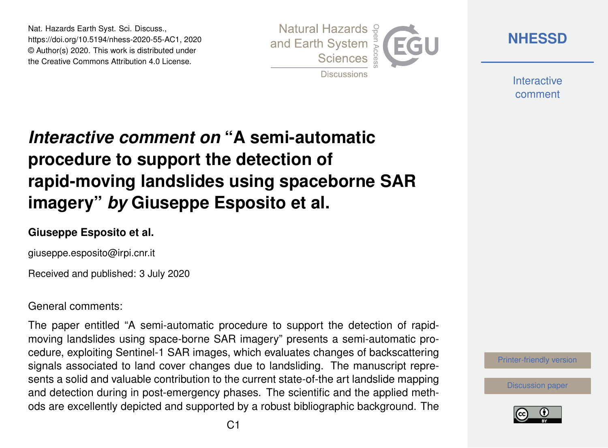Nat. Hazards Earth Syst. Sci. Discuss., https://doi.org/10.5194/nhess-2020-55-AC1, 2020 © Author(s) 2020. This work is distributed under the Creative Commons Attribution 4.0 License.



**[NHESSD](https://www.nat-hazards-earth-syst-sci-discuss.net/)**

**Interactive** comment

# *Interactive comment on* **"A semi-automatic procedure to support the detection of rapid-moving landslides using spaceborne SAR imagery"** *by* **Giuseppe Esposito et al.**

### **Giuseppe Esposito et al.**

giuseppe.esposito@irpi.cnr.it

Received and published: 3 July 2020

### General comments:

The paper entitled "A semi-automatic procedure to support the detection of rapidmoving landslides using space-borne SAR imagery" presents a semi-automatic procedure, exploiting Sentinel-1 SAR images, which evaluates changes of backscattering signals associated to land cover changes due to landsliding. The manuscript represents a solid and valuable contribution to the current state-of-the art landslide mapping and detection during in post-emergency phases. The scientific and the applied methods are excellently depicted and supported by a robust bibliographic background. The

[Printer-friendly version](https://www.nat-hazards-earth-syst-sci-discuss.net/nhess-2020-55/nhess-2020-55-AC1-print.pdf)

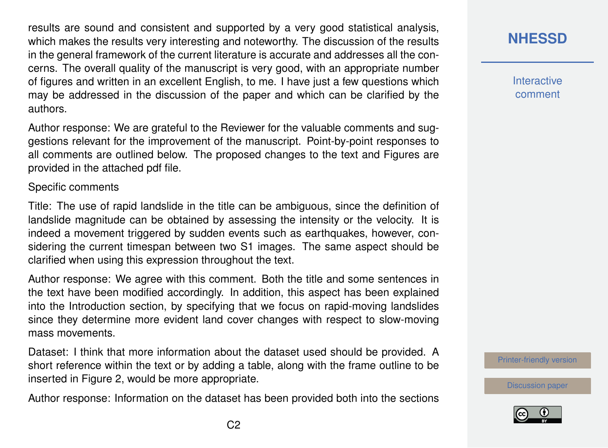results are sound and consistent and supported by a very good statistical analysis, which makes the results very interesting and noteworthy. The discussion of the results in the general framework of the current literature is accurate and addresses all the concerns. The overall quality of the manuscript is very good, with an appropriate number of figures and written in an excellent English, to me. I have just a few questions which may be addressed in the discussion of the paper and which can be clarified by the authors.

Author response: We are grateful to the Reviewer for the valuable comments and suggestions relevant for the improvement of the manuscript. Point-by-point responses to all comments are outlined below. The proposed changes to the text and Figures are provided in the attached pdf file.

#### Specific comments

Title: The use of rapid landslide in the title can be ambiguous, since the definition of landslide magnitude can be obtained by assessing the intensity or the velocity. It is indeed a movement triggered by sudden events such as earthquakes, however, considering the current timespan between two S1 images. The same aspect should be clarified when using this expression throughout the text.

Author response: We agree with this comment. Both the title and some sentences in the text have been modified accordingly. In addition, this aspect has been explained into the Introduction section, by specifying that we focus on rapid-moving landslides since they determine more evident land cover changes with respect to slow-moving mass movements.

Dataset: I think that more information about the dataset used should be provided. A short reference within the text or by adding a table, along with the frame outline to be inserted in Figure 2, would be more appropriate.

Author response: Information on the dataset has been provided both into the sections

# **[NHESSD](https://www.nat-hazards-earth-syst-sci-discuss.net/)**

**Interactive** comment

[Printer-friendly version](https://www.nat-hazards-earth-syst-sci-discuss.net/nhess-2020-55/nhess-2020-55-AC1-print.pdf)

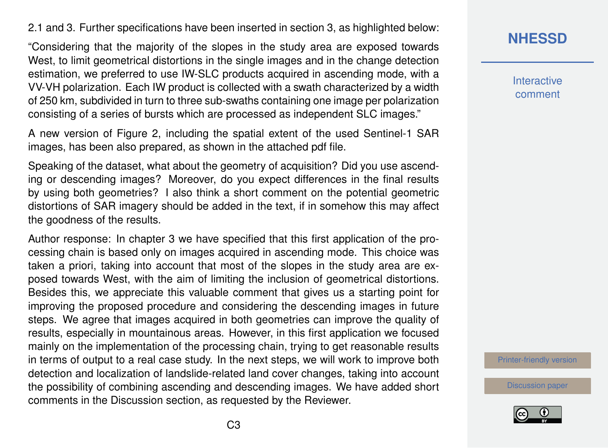2.1 and 3. Further specifications have been inserted in section 3, as highlighted below:

"Considering that the majority of the slopes in the study area are exposed towards West, to limit geometrical distortions in the single images and in the change detection estimation, we preferred to use IW-SLC products acquired in ascending mode, with a VV-VH polarization. Each IW product is collected with a swath characterized by a width of 250 km, subdivided in turn to three sub-swaths containing one image per polarization consisting of a series of bursts which are processed as independent SLC images."

A new version of Figure 2, including the spatial extent of the used Sentinel-1 SAR images, has been also prepared, as shown in the attached pdf file.

Speaking of the dataset, what about the geometry of acquisition? Did you use ascending or descending images? Moreover, do you expect differences in the final results by using both geometries? I also think a short comment on the potential geometric distortions of SAR imagery should be added in the text, if in somehow this may affect the goodness of the results.

Author response: In chapter 3 we have specified that this first application of the processing chain is based only on images acquired in ascending mode. This choice was taken a priori, taking into account that most of the slopes in the study area are exposed towards West, with the aim of limiting the inclusion of geometrical distortions. Besides this, we appreciate this valuable comment that gives us a starting point for improving the proposed procedure and considering the descending images in future steps. We agree that images acquired in both geometries can improve the quality of results, especially in mountainous areas. However, in this first application we focused mainly on the implementation of the processing chain, trying to get reasonable results in terms of output to a real case study. In the next steps, we will work to improve both detection and localization of landslide-related land cover changes, taking into account the possibility of combining ascending and descending images. We have added short comments in the Discussion section, as requested by the Reviewer.

**[NHESSD](https://www.nat-hazards-earth-syst-sci-discuss.net/)**

**Interactive** comment

[Printer-friendly version](https://www.nat-hazards-earth-syst-sci-discuss.net/nhess-2020-55/nhess-2020-55-AC1-print.pdf)

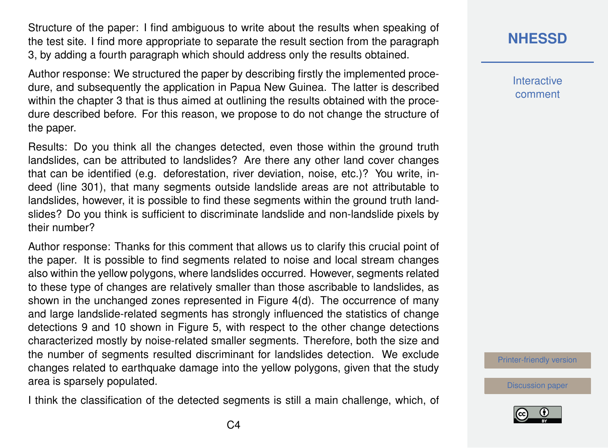Structure of the paper: I find ambiguous to write about the results when speaking of the test site. I find more appropriate to separate the result section from the paragraph 3, by adding a fourth paragraph which should address only the results obtained.

Author response: We structured the paper by describing firstly the implemented procedure, and subsequently the application in Papua New Guinea. The latter is described within the chapter 3 that is thus aimed at outlining the results obtained with the procedure described before. For this reason, we propose to do not change the structure of the paper.

Results: Do you think all the changes detected, even those within the ground truth landslides, can be attributed to landslides? Are there any other land cover changes that can be identified (e.g. deforestation, river deviation, noise, etc.)? You write, indeed (line 301), that many segments outside landslide areas are not attributable to landslides, however, it is possible to find these segments within the ground truth landslides? Do you think is sufficient to discriminate landslide and non-landslide pixels by their number?

Author response: Thanks for this comment that allows us to clarify this crucial point of the paper. It is possible to find segments related to noise and local stream changes also within the yellow polygons, where landslides occurred. However, segments related to these type of changes are relatively smaller than those ascribable to landslides, as shown in the unchanged zones represented in Figure 4(d). The occurrence of many and large landslide-related segments has strongly influenced the statistics of change detections 9 and 10 shown in Figure 5, with respect to the other change detections characterized mostly by noise-related smaller segments. Therefore, both the size and the number of segments resulted discriminant for landslides detection. We exclude changes related to earthquake damage into the yellow polygons, given that the study area is sparsely populated.

I think the classification of the detected segments is still a main challenge, which, of

# **[NHESSD](https://www.nat-hazards-earth-syst-sci-discuss.net/)**

**Interactive** comment

[Printer-friendly version](https://www.nat-hazards-earth-syst-sci-discuss.net/nhess-2020-55/nhess-2020-55-AC1-print.pdf)

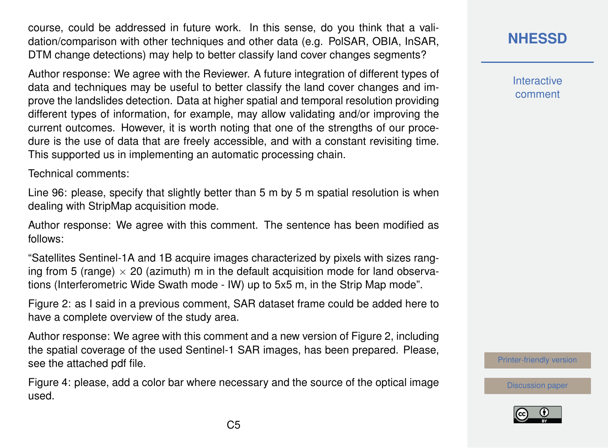course, could be addressed in future work. In this sense, do you think that a validation/comparison with other techniques and other data (e.g. PolSAR, OBIA, InSAR, DTM change detections) may help to better classify land cover changes segments?

Author response: We agree with the Reviewer. A future integration of different types of data and techniques may be useful to better classify the land cover changes and improve the landslides detection. Data at higher spatial and temporal resolution providing different types of information, for example, may allow validating and/or improving the current outcomes. However, it is worth noting that one of the strengths of our procedure is the use of data that are freely accessible, and with a constant revisiting time. This supported us in implementing an automatic processing chain.

Technical comments:

Line 96: please, specify that slightly better than 5 m by 5 m spatial resolution is when dealing with StripMap acquisition mode.

Author response: We agree with this comment. The sentence has been modified as follows:

"Satellites Sentinel-1A and 1B acquire images characterized by pixels with sizes ranging from 5 (range)  $\times$  20 (azimuth) m in the default acquisition mode for land observations (Interferometric Wide Swath mode - IW) up to 5x5 m, in the Strip Map mode".

Figure 2: as I said in a previous comment, SAR dataset frame could be added here to have a complete overview of the study area.

Author response: We agree with this comment and a new version of Figure 2, including the spatial coverage of the used Sentinel-1 SAR images, has been prepared. Please, see the attached pdf file.

Figure 4: please, add a color bar where necessary and the source of the optical image used.

**Interactive** comment

[Printer-friendly version](https://www.nat-hazards-earth-syst-sci-discuss.net/nhess-2020-55/nhess-2020-55-AC1-print.pdf)